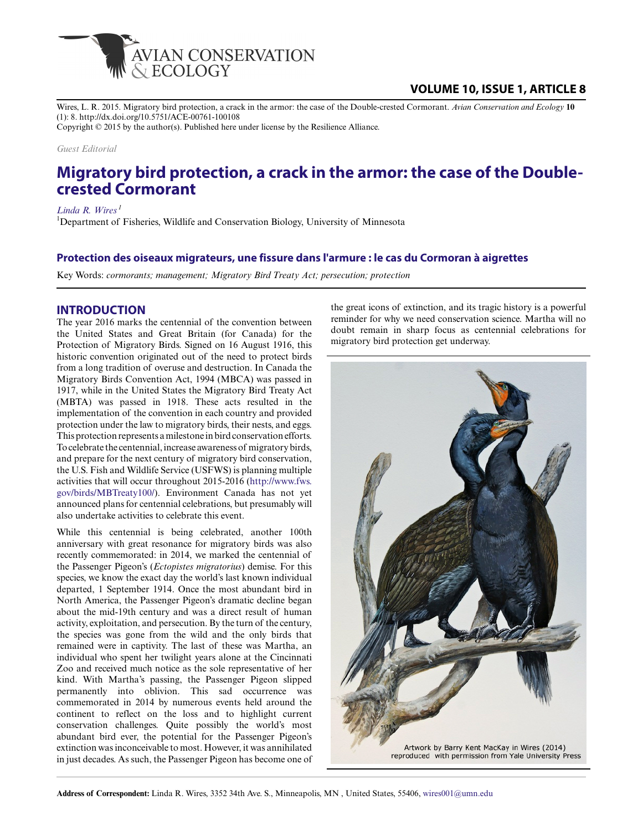

# **VOLUME 10, ISSUE 1, ARTICLE 8**

Wires, L. R. 2015. Migratory bird protection, a crack in the armor: the case of the Double-crested Cormorant. *Avian Conservation and Ecology* **10** (1): 8. http://dx.doi.org/10.5751/ACE-00761-100108

Copyright © 2015 by the author(s). Published here under license by the Resilience Alliance.

#### *Guest Editorial*

# **Migratory bird protection, a crack in the armor: the case of the Doublecrested Cormorant**

*[Linda R. Wires](mailto:wires001@umn.edu)<sup>1</sup>*

<sup>1</sup>Department of Fisheries, Wildlife and Conservation Biology, University of Minnesota

## **Protection des oiseaux migrateurs, une fissure dans l'armure : le cas du Cormoran à aigrettes**

Key Words: *cormorants; management; Migratory Bird Treaty Act; persecution; protection*

## **INTRODUCTION**

The year 2016 marks the centennial of the convention between the United States and Great Britain (for Canada) for the Protection of Migratory Birds. Signed on 16 August 1916, this historic convention originated out of the need to protect birds from a long tradition of overuse and destruction. In Canada the Migratory Birds Convention Act, 1994 (MBCA) was passed in 1917, while in the United States the Migratory Bird Treaty Act (MBTA) was passed in 1918. These acts resulted in the implementation of the convention in each country and provided protection under the law to migratory birds, their nests, and eggs. This protection represents a milestone in bird conservation efforts. To celebrate the centennial, increase awareness of migratory birds, and prepare for the next century of migratory bird conservation, the U.S. Fish and Wildlife Service (USFWS) is planning multiple activities that will occur throughout 2015-2016 ([http://www.fws.](http://www.fws.gov/birds/MBTreaty100/) [gov/birds/MBTreaty100/](http://www.fws.gov/birds/MBTreaty100/)). Environment Canada has not yet announced plans for centennial celebrations, but presumably will also undertake activities to celebrate this event.

While this centennial is being celebrated, another 100th anniversary with great resonance for migratory birds was also recently commemorated: in 2014, we marked the centennial of the Passenger Pigeon's (*Ectopistes migratorius*) demise. For this species, we know the exact day the world's last known individual departed, 1 September 1914. Once the most abundant bird in North America, the Passenger Pigeon's dramatic decline began about the mid-19th century and was a direct result of human activity, exploitation, and persecution. By the turn of the century, the species was gone from the wild and the only birds that remained were in captivity. The last of these was Martha, an individual who spent her twilight years alone at the Cincinnati Zoo and received much notice as the sole representative of her kind. With Martha's passing, the Passenger Pigeon slipped permanently into oblivion. This sad occurrence was commemorated in 2014 by numerous events held around the continent to reflect on the loss and to highlight current conservation challenges. Quite possibly the world's most abundant bird ever, the potential for the Passenger Pigeon's extinction was inconceivable to most. However, it was annihilated in just decades. As such, the Passenger Pigeon has become one of

the great icons of extinction, and its tragic history is a powerful reminder for why we need conservation science. Martha will no doubt remain in sharp focus as centennial celebrations for migratory bird protection get underway.

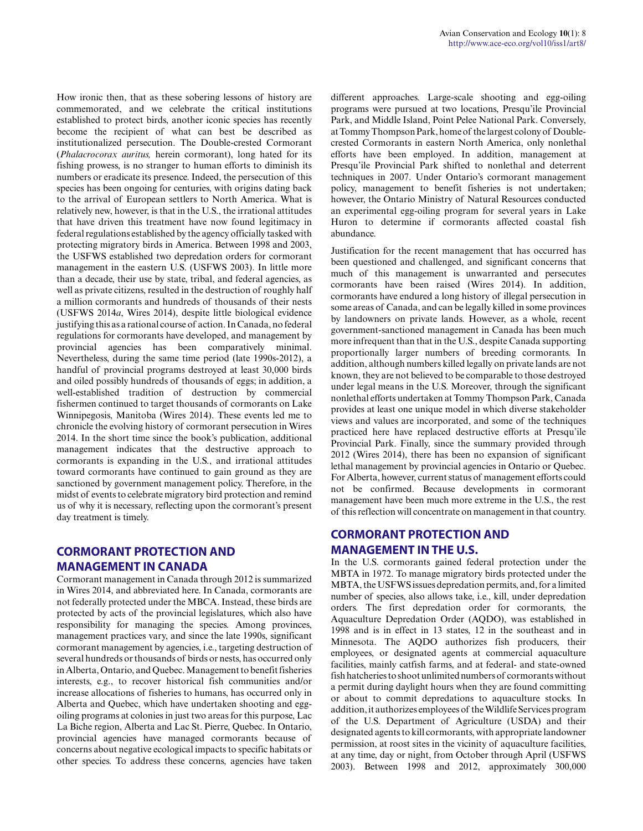How ironic then, that as these sobering lessons of history are commemorated, and we celebrate the critical institutions established to protect birds, another iconic species has recently become the recipient of what can best be described as institutionalized persecution. The Double-crested Cormorant (*Phalacrocorax auritus,* herein cormorant), long hated for its fishing prowess, is no stranger to human efforts to diminish its numbers or eradicate its presence. Indeed, the persecution of this species has been ongoing for centuries, with origins dating back to the arrival of European settlers to North America. What is relatively new, however, is that in the U.S., the irrational attitudes that have driven this treatment have now found legitimacy in federal regulations established by the agency officially tasked with protecting migratory birds in America. Between 1998 and 2003, the USFWS established two depredation orders for cormorant management in the eastern U.S. (USFWS 2003). In little more than a decade, their use by state, tribal, and federal agencies, as well as private citizens, resulted in the destruction of roughly half a million cormorants and hundreds of thousands of their nests (USFWS 2014*a*, Wires 2014), despite little biological evidence justifying this as a rational course of action. In Canada, no federal regulations for cormorants have developed, and management by provincial agencies has been comparatively minimal. Nevertheless, during the same time period (late 1990s-2012), a handful of provincial programs destroyed at least 30,000 birds and oiled possibly hundreds of thousands of eggs; in addition, a well-established tradition of destruction by commercial fishermen continued to target thousands of cormorants on Lake Winnipegosis, Manitoba (Wires 2014). These events led me to chronicle the evolving history of cormorant persecution in Wires 2014. In the short time since the book's publication, additional management indicates that the destructive approach to cormorants is expanding in the U.S., and irrational attitudes toward cormorants have continued to gain ground as they are sanctioned by government management policy. Therefore, in the midst of events to celebrate migratory bird protection and remind us of why it is necessary, reflecting upon the cormorant's present day treatment is timely.

## **CORMORANT PROTECTION AND MANAGEMENT IN CANADA**

Cormorant management in Canada through 2012 is summarized in Wires 2014, and abbreviated here. In Canada, cormorants are not federally protected under the MBCA. Instead, these birds are protected by acts of the provincial legislatures, which also have responsibility for managing the species. Among provinces, management practices vary, and since the late 1990s, significant cormorant management by agencies, i.e., targeting destruction of several hundreds or thousands of birds or nests, has occurred only in Alberta, Ontario, and Quebec. Management to benefit fisheries interests, e.g., to recover historical fish communities and/or increase allocations of fisheries to humans, has occurred only in Alberta and Quebec, which have undertaken shooting and eggoiling programs at colonies in just two areas for this purpose, Lac La Biche region, Alberta and Lac St. Pierre, Quebec. In Ontario, provincial agencies have managed cormorants because of concerns about negative ecological impacts to specific habitats or other species. To address these concerns, agencies have taken different approaches. Large-scale shooting and egg-oiling programs were pursued at two locations, Presqu'ile Provincial Park, and Middle Island, Point Pelee National Park. Conversely, at Tommy Thompson Park, home of the largest colony of Doublecrested Cormorants in eastern North America, only nonlethal efforts have been employed. In addition, management at Presqu'ile Provincial Park shifted to nonlethal and deterrent techniques in 2007. Under Ontario's cormorant management policy, management to benefit fisheries is not undertaken; however, the Ontario Ministry of Natural Resources conducted an experimental egg-oiling program for several years in Lake Huron to determine if cormorants affected coastal fish abundance.

Justification for the recent management that has occurred has been questioned and challenged, and significant concerns that much of this management is unwarranted and persecutes cormorants have been raised (Wires 2014). In addition, cormorants have endured a long history of illegal persecution in some areas of Canada, and can be legally killed in some provinces by landowners on private lands. However, as a whole, recent government-sanctioned management in Canada has been much more infrequent than that in the U.S., despite Canada supporting proportionally larger numbers of breeding cormorants. In addition, although numbers killed legally on private lands are not known, they are not believed to be comparable to those destroyed under legal means in the U.S. Moreover, through the significant nonlethal efforts undertaken at Tommy Thompson Park, Canada provides at least one unique model in which diverse stakeholder views and values are incorporated, and some of the techniques practiced here have replaced destructive efforts at Presqu'ile Provincial Park. Finally, since the summary provided through 2012 (Wires 2014), there has been no expansion of significant lethal management by provincial agencies in Ontario or Quebec. For Alberta, however, current status of management efforts could not be confirmed. Because developments in cormorant management have been much more extreme in the U.S., the rest of this reflection will concentrate on management in that country.

# **CORMORANT PROTECTION AND MANAGEMENT IN THE U.S.**

In the U.S. cormorants gained federal protection under the MBTA in 1972. To manage migratory birds protected under the MBTA, the USFWS issues depredation permits, and, for a limited number of species, also allows take, i.e., kill, under depredation orders. The first depredation order for cormorants, the Aquaculture Depredation Order (AQDO), was established in 1998 and is in effect in 13 states, 12 in the southeast and in Minnesota. The AQDO authorizes fish producers, their employees, or designated agents at commercial aquaculture facilities, mainly catfish farms, and at federal- and state-owned fish hatcheries to shoot unlimited numbers of cormorants without a permit during daylight hours when they are found committing or about to commit depredations to aquaculture stocks. In addition, it authorizes employees of the Wildlife Services program of the U.S. Department of Agriculture (USDA) and their designated agents to kill cormorants, with appropriate landowner permission, at roost sites in the vicinity of aquaculture facilities, at any time, day or night, from October through April (USFWS 2003). Between 1998 and 2012, approximately 300,000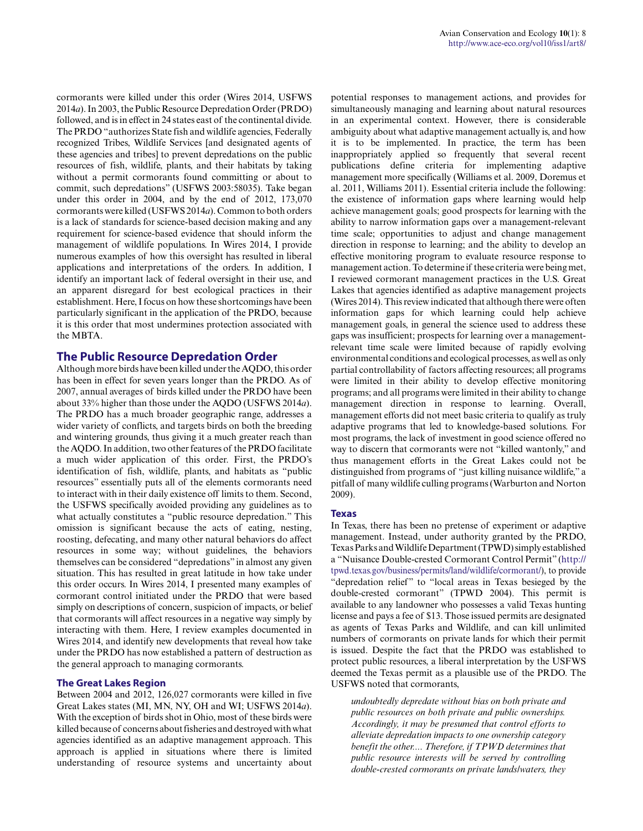cormorants were killed under this order (Wires 2014, USFWS 2014*a*). In 2003, the Public Resource Depredation Order (PRDO) followed, and is in effect in 24 states east of the continental divide. The PRDO "authorizes State fish and wildlife agencies, Federally recognized Tribes, Wildlife Services [and designated agents of these agencies and tribes] to prevent depredations on the public resources of fish, wildlife, plants, and their habitats by taking without a permit cormorants found committing or about to commit, such depredations" (USFWS 2003:58035). Take began under this order in 2004, and by the end of 2012, 173,070 cormorants were killed (USFWS 2014*a*). Common to both orders is a lack of standards for science-based decision making and any requirement for science-based evidence that should inform the management of wildlife populations. In Wires 2014, I provide numerous examples of how this oversight has resulted in liberal applications and interpretations of the orders. In addition, I identify an important lack of federal oversight in their use, and an apparent disregard for best ecological practices in their establishment. Here, I focus on how these shortcomings have been particularly significant in the application of the PRDO, because it is this order that most undermines protection associated with the MBTA.

## **The Public Resource Depredation Order**

Although more birds have been killed under the AQDO, this order has been in effect for seven years longer than the PRDO. As of 2007, annual averages of birds killed under the PRDO have been about 33% higher than those under the AQDO (USFWS 2014*a*). The PRDO has a much broader geographic range, addresses a wider variety of conflicts, and targets birds on both the breeding and wintering grounds, thus giving it a much greater reach than the AQDO. In addition, two other features of the PRDO facilitate a much wider application of this order. First, the PRDO's identification of fish, wildlife, plants, and habitats as "public resources" essentially puts all of the elements cormorants need to interact with in their daily existence off limits to them. Second, the USFWS specifically avoided providing any guidelines as to what actually constitutes a "public resource depredation." This omission is significant because the acts of eating, nesting, roosting, defecating, and many other natural behaviors do affect resources in some way; without guidelines, the behaviors themselves can be considered "depredations" in almost any given situation. This has resulted in great latitude in how take under this order occurs. In Wires 2014, I presented many examples of cormorant control initiated under the PRDO that were based simply on descriptions of concern, suspicion of impacts, or belief that cormorants will affect resources in a negative way simply by interacting with them. Here, I review examples documented in Wires 2014, and identify new developments that reveal how take under the PRDO has now established a pattern of destruction as the general approach to managing cormorants.

## **The Great Lakes Region**

Between 2004 and 2012, 126,027 cormorants were killed in five Great Lakes states (MI, MN, NY, OH and WI; USFWS 2014*a*). With the exception of birds shot in Ohio, most of these birds were killed because of concerns about fisheries and destroyed with what agencies identified as an adaptive management approach. This approach is applied in situations where there is limited understanding of resource systems and uncertainty about

potential responses to management actions, and provides for simultaneously managing and learning about natural resources in an experimental context. However, there is considerable ambiguity about what adaptive management actually is, and how it is to be implemented. In practice, the term has been inappropriately applied so frequently that several recent publications define criteria for implementing adaptive management more specifically (Williams et al. 2009, Doremus et al. 2011, Williams 2011). Essential criteria include the following: the existence of information gaps where learning would help achieve management goals; good prospects for learning with the ability to narrow information gaps over a management-relevant time scale; opportunities to adjust and change management direction in response to learning; and the ability to develop an effective monitoring program to evaluate resource response to management action. To determine if these criteria were being met, I reviewed cormorant management practices in the U.S. Great Lakes that agencies identified as adaptive management projects (Wires 2014). This review indicated that although there were often information gaps for which learning could help achieve management goals, in general the science used to address these gaps was insufficient; prospects for learning over a managementrelevant time scale were limited because of rapidly evolving environmental conditions and ecological processes, as well as only partial controllability of factors affecting resources; all programs were limited in their ability to develop effective monitoring programs; and all programs were limited in their ability to change management direction in response to learning. Overall, management efforts did not meet basic criteria to qualify as truly adaptive programs that led to knowledge-based solutions. For most programs, the lack of investment in good science offered no way to discern that cormorants were not "killed wantonly," and thus management efforts in the Great Lakes could not be distinguished from programs of "just killing nuisance wildlife," a pitfall of many wildlife culling programs (Warburton and Norton 2009).

## **Texas**

In Texas, there has been no pretense of experiment or adaptive management. Instead, under authority granted by the PRDO, Texas Parks and Wildlife Department (TPWD) simply established a "Nuisance Double-crested Cormorant Control Permit" ([http://](http://tpwd.texas.gov/business/permits/land/wildlife/cormorant/) [tpwd.texas.gov/business/permits/land/wildlife/cormorant/](http://tpwd.texas.gov/business/permits/land/wildlife/cormorant/)), to provide "depredation relief" to "local areas in Texas besieged by the double-crested cormorant" (TPWD 2004). This permit is available to any landowner who possesses a valid Texas hunting license and pays a fee of \$13. Those issued permits are designated as agents of Texas Parks and Wildlife, and can kill unlimited numbers of cormorants on private lands for which their permit is issued. Despite the fact that the PRDO was established to protect public resources, a liberal interpretation by the USFWS deemed the Texas permit as a plausible use of the PRDO. The USFWS noted that cormorants,

*undoubtedly depredate without bias on both private and public resources on both private and public ownerships. Accordingly, it may be presumed that control efforts to alleviate depredation impacts to one ownership category benefit the other.... Therefore, if TPWD determines that public resource interests will be served by controlling double-crested cormorants on private lands/waters, they*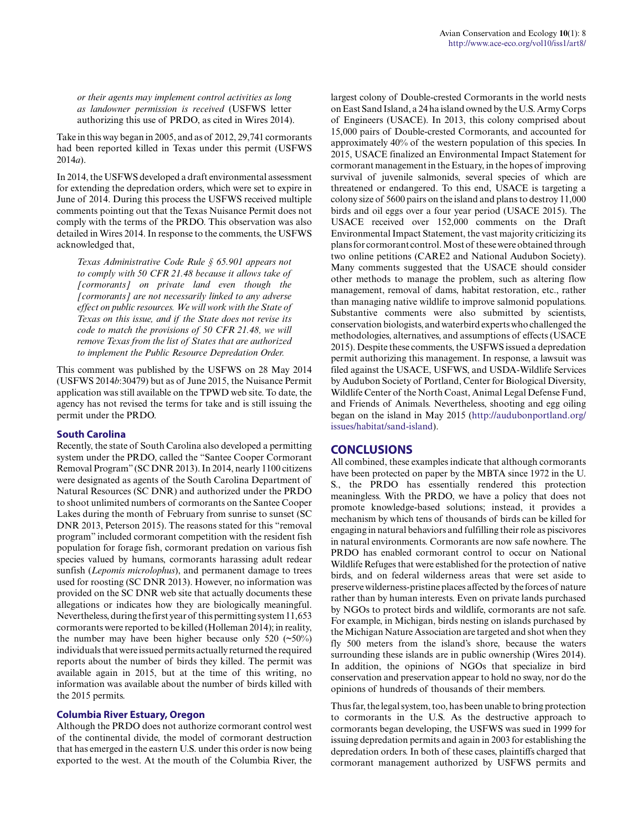*or their agents may implement control activities as long as landowner permission is received* (USFWS letter authorizing this use of PRDO, as cited in Wires 2014).

Take in this way began in 2005, and as of 2012, 29,741 cormorants had been reported killed in Texas under this permit (USFWS 2014*a*).

In 2014, the USFWS developed a draft environmental assessment for extending the depredation orders, which were set to expire in June of 2014. During this process the USFWS received multiple comments pointing out that the Texas Nuisance Permit does not comply with the terms of the PRDO. This observation was also detailed in Wires 2014. In response to the comments, the USFWS acknowledged that,

*Texas Administrative Code Rule § 65.901 appears not to comply with 50 CFR 21.48 because it allows take of [cormorants] on private land even though the [cormorants] are not necessarily linked to any adverse effect on public resources. We will work with the State of Texas on this issue, and if the State does not revise its code to match the provisions of 50 CFR 21.48, we will remove Texas from the list of States that are authorized to implement the Public Resource Depredation Order.*

This comment was published by the USFWS on 28 May 2014 (USFWS 2014*b*:30479) but as of June 2015, the Nuisance Permit application was still available on the TPWD web site. To date, the agency has not revised the terms for take and is still issuing the permit under the PRDO.

#### **South Carolina**

Recently, the state of South Carolina also developed a permitting system under the PRDO, called the "Santee Cooper Cormorant Removal Program" (SC DNR 2013). In 2014, nearly 1100 citizens were designated as agents of the South Carolina Department of Natural Resources (SC DNR) and authorized under the PRDO to shoot unlimited numbers of cormorants on the Santee Cooper Lakes during the month of February from sunrise to sunset (SC DNR 2013, Peterson 2015). The reasons stated for this "removal program" included cormorant competition with the resident fish population for forage fish, cormorant predation on various fish species valued by humans, cormorants harassing adult redear sunfish (*Lepomis microlophus*), and permanent damage to trees used for roosting (SC DNR 2013). However, no information was provided on the SC DNR web site that actually documents these allegations or indicates how they are biologically meaningful. Nevertheless, during the first year of this permitting system 11,653 cormorants were reported to be killed (Holleman 2014); in reality, the number may have been higher because only 520  $(\sim 50\%)$ individuals that were issued permits actually returned the required reports about the number of birds they killed. The permit was available again in 2015, but at the time of this writing, no information was available about the number of birds killed with the 2015 permits.

#### **Columbia River Estuary, Oregon**

Although the PRDO does not authorize cormorant control west of the continental divide, the model of cormorant destruction that has emerged in the eastern U.S. under this order is now being exported to the west. At the mouth of the Columbia River, the largest colony of Double-crested Cormorants in the world nests on East Sand Island, a 24 ha island owned by the U.S. Army Corps of Engineers (USACE). In 2013, this colony comprised about 15,000 pairs of Double-crested Cormorants, and accounted for approximately 40% of the western population of this species. In 2015, USACE finalized an Environmental Impact Statement for cormorant management in the Estuary, in the hopes of improving survival of juvenile salmonids, several species of which are threatened or endangered. To this end, USACE is targeting a colony size of 5600 pairs on the island and plans to destroy 11,000 birds and oil eggs over a four year period (USACE 2015). The USACE received over 152,000 comments on the Draft Environmental Impact Statement, the vast majority criticizing its plans for cormorant control. Most of these were obtained through two online petitions (CARE2 and National Audubon Society). Many comments suggested that the USACE should consider other methods to manage the problem, such as altering flow management, removal of dams, habitat restoration, etc., rather than managing native wildlife to improve salmonid populations. Substantive comments were also submitted by scientists, conservation biologists, and waterbird experts who challenged the methodologies, alternatives, and assumptions of effects (USACE 2015). Despite these comments, the USFWS issued a depredation permit authorizing this management. In response, a lawsuit was filed against the USACE, USFWS, and USDA-Wildlife Services by Audubon Society of Portland, Center for Biological Diversity, Wildlife Center of the North Coast, Animal Legal Defense Fund, and Friends of Animals. Nevertheless, shooting and egg oiling began on the island in May 2015 [\(http://audubonportland.org/](http://audubonportland.org/issues/habitat/sand-island) [issues/habitat/sand-island](http://audubonportland.org/issues/habitat/sand-island)).

## **CONCLUSIONS**

All combined, these examples indicate that although cormorants have been protected on paper by the MBTA since 1972 in the U. S., the PRDO has essentially rendered this protection meaningless. With the PRDO, we have a policy that does not promote knowledge-based solutions; instead, it provides a mechanism by which tens of thousands of birds can be killed for engaging in natural behaviors and fulfilling their role as piscivores in natural environments. Cormorants are now safe nowhere. The PRDO has enabled cormorant control to occur on National Wildlife Refuges that were established for the protection of native birds, and on federal wilderness areas that were set aside to preserve wilderness-pristine places affected by the forces of nature rather than by human interests. Even on private lands purchased by NGOs to protect birds and wildlife, cormorants are not safe. For example, in Michigan, birds nesting on islands purchased by the Michigan Nature Association are targeted and shot when they fly 500 meters from the island's shore, because the waters surrounding these islands are in public ownership (Wires 2014). In addition, the opinions of NGOs that specialize in bird conservation and preservation appear to hold no sway, nor do the opinions of hundreds of thousands of their members.

Thus far, the legal system, too, has been unable to bring protection to cormorants in the U.S. As the destructive approach to cormorants began developing, the USFWS was sued in 1999 for issuing depredation permits and again in 2003 for establishing the depredation orders. In both of these cases, plaintiffs charged that cormorant management authorized by USFWS permits and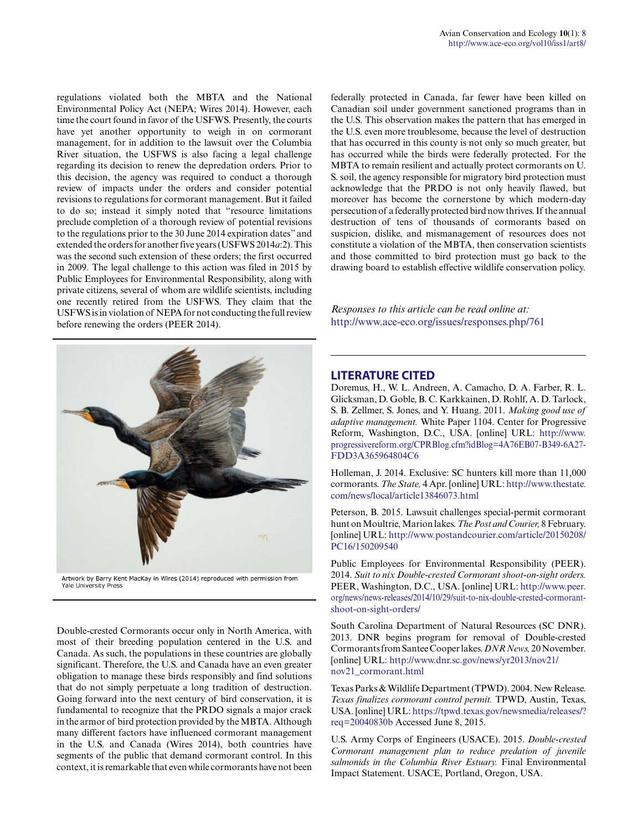regulations violated both the MBTA and the National Environmental Policy Act (NEPA; Wires 2014). However, each time the court found in favor of the USFWS. Presently, the courts have yet another opportunity to weigh in on cormorant management, for in addition to the lawsuit over the Columbia River situation, the USFWS is also facing a legal challenge regarding its decision to renew the depredation orders. Prior to this decision, the agency was required to conduct a thorough review of impacts under the orders and consider potential revisions to regulations for cormorant management. But it failed to do so; instead it simply noted that "resource limitations preclude completion of a thorough review of potential revisions to the regulations prior to the 30 June 2014 expiration dates" and extended the orders for another five years (USFWS 2014*a*:2). This was the second such extension of these orders; the first occurred in 2009. The legal challenge to this action was filed in 2015 by Public Employees for Environmental Responsibility, along with private citizens, several of whom are wildlife scientists, including one recently retired from the USFWS. They claim that the USFWS is in violation of NEPA for not conducting the full review before renewing the orders (PEER 2014).



Artwork by Barry Kent MacKay in Wires (2014) reproduced with permission from **Yale University Press** 

Double-crested Cormorants occur only in North America, with most of their breeding population centered in the U.S. and Canada. As such, the populations in these countries are globally significant. Therefore, the U.S. and Canada have an even greater obligation to manage these birds responsibly and find solutions that do not simply perpetuate a long tradition of destruction. Going forward into the next century of bird conservation, it is fundamental to recognize that the PRDO signals a major crack in the armor of bird protection provided by the MBTA. Although many different factors have influenced cormorant management in the U.S. and Canada (Wires 2014), both countries have segments of the public that demand cormorant control. In this context, it is remarkable that even while cormorants have not been federally protected in Canada, far fewer have been killed on Canadian soil under government sanctioned programs than in the U.S. This observation makes the pattern that has emerged in the U.S. even more troublesome, because the level of destruction that has occurred in this county is not only so much greater, but has occurred while the birds were federally protected. For the MBTA to remain resilient and actually protect cormorants on U. S. soil, the agency responsible for migratory bird protection must acknowledge that the PRDO is not only heavily flawed, but moreover has become the cornerstone by which modern-day persecution of a federally protected bird now thrives. If the annual destruction of tens of thousands of cormorants based on suspicion, dislike, and mismanagement of resources does not constitute a violation of the MBTA, then conservation scientists and those committed to bird protection must go back to the drawing board to establish effective wildlife conservation policy.

*Responses to this article can be read online at:* <http://www.ace-eco.org/issues/responses.php/761>

## **LITERATURE CITED**

Doremus, H., W. L. Andreen, A. Camacho, D. A. Farber, R. L. Glicksman, D. Goble, B. C. Karkkainen, D. Rohlf, A. D. Tarlock, S. B. Zellmer, S. Jones, and Y. Huang. 2011. *Making good use of adaptive management.* White Paper 1104. Center for Progressive Reform, Washington, D.C., USA. [online] URL: [http://www.](http://www.progressivereform.org/CPRBlog.cfm?idBlog=4A76EB07-B349-6A27-FDD3A365964804C6) [progressivereform.org/CPRBlog.cfm?idBlog=4A76EB07-B349-6A27-](http://www.progressivereform.org/CPRBlog.cfm?idBlog=4A76EB07-B349-6A27-FDD3A365964804C6) [FDD3A365964804C6](http://www.progressivereform.org/CPRBlog.cfm?idBlog=4A76EB07-B349-6A27-FDD3A365964804C6) 

Holleman, J. 2014. Exclusive: SC hunters kill more than 11,000 cormorants. *The State,* 4 Apr. [online] URL: [http://www.thestate.](http://www.thestate.com/news/local/article13846073.html) [com/news/local/article13846073.html](http://www.thestate.com/news/local/article13846073.html) 

Peterson, B. 2015. Lawsuit challenges special-permit cormorant hunt on Moultrie, Marion lakes. *The Post and Courier,* 8 February. [online] URL: [http://www.postandcourier.com/article/20150208/](http://www.postandcourier.com/article/20150208/PC16/150209540) [PC16/150209540](http://www.postandcourier.com/article/20150208/PC16/150209540) 

Public Employees for Environmental Responsibility (PEER). 2014. *Suit to nix Double-crested Cormorant shoot-on-sight orders.* PEER, Washington, D.C., USA. [online] URL: [http://www.peer.](http://www.peer.org/news/news-releases/2014/10/29/suit-to-nix-double-crested-cormorant-shoot-on-sight-orders/) [org/news/news-releases/2014/10/29/suit-to-nix-double-crested-cormorant](http://www.peer.org/news/news-releases/2014/10/29/suit-to-nix-double-crested-cormorant-shoot-on-sight-orders/)[shoot-on-sight-orders/](http://www.peer.org/news/news-releases/2014/10/29/suit-to-nix-double-crested-cormorant-shoot-on-sight-orders/)

South Carolina Department of Natural Resources (SC DNR). 2013. DNR begins program for removal of Double-crested Cormorants from Santee Cooper lakes. *DNR News,* 20 November. [online] URL: [http://www.dnr.sc.gov/news/yr2013/nov21/](http://www.dnr.sc.gov/news/yr2013/nov21/nov21_cormorant.html) [nov21\\_cormorant.html](http://www.dnr.sc.gov/news/yr2013/nov21/nov21_cormorant.html) 

Texas Parks & Wildlife Department (TPWD). 2004. New Release. *Texas finalizes cormorant control permit.* TPWD, Austin, Texas, USA. [online] URL: [https://tpwd.texas.gov/newsmedia/releases/?](https://tpwd.texas.gov/newsmedia/releases/?req=20040830b) [req=20040830b](https://tpwd.texas.gov/newsmedia/releases/?req=20040830b) Accessed June 8, 2015.

U.S. Army Corps of Engineers (USACE). 2015. *Double-crested Cormorant management plan to reduce predation of juvenile salmonids in the Columbia River Estuary.* Final Environmental Impact Statement. USACE, Portland, Oregon, USA.